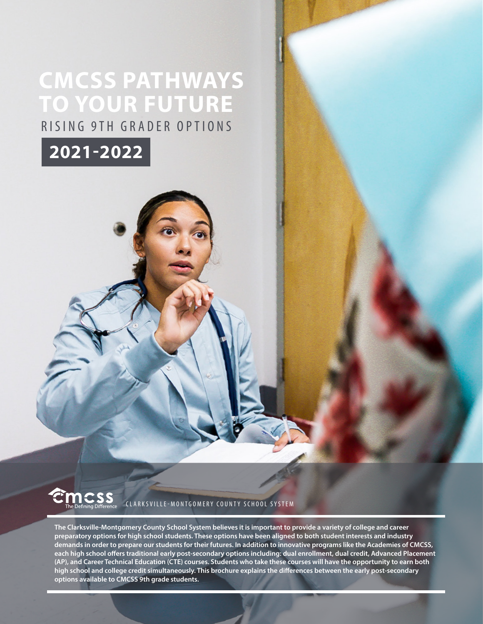# **CMCSS PATHWAYS TO YOUR FUTURE** RISING 9TH GRADER OPTIONS



CLARKSVILLE-MONTGOMERY COUNTY SCHOOL SYSTEM

**The Clarksville-Montgomery County School System believes it is important to provide a variety of college and career preparatory options for high school students. These options have been aligned to both student interests and industry demands in order to prepare our students for their futures. In addition to innovative programs like the Academies of CMCSS, each high school offers traditional early post-secondary options including: dual enrollment, dual credit, Advanced Placement (AP), and Career Technical Education (CTE) courses. Students who take these courses will have the opportunity to earn both high school and college credit simultaneously. This brochure explains the differences between the early post-secondary options available to CMCSS 9th grade students.**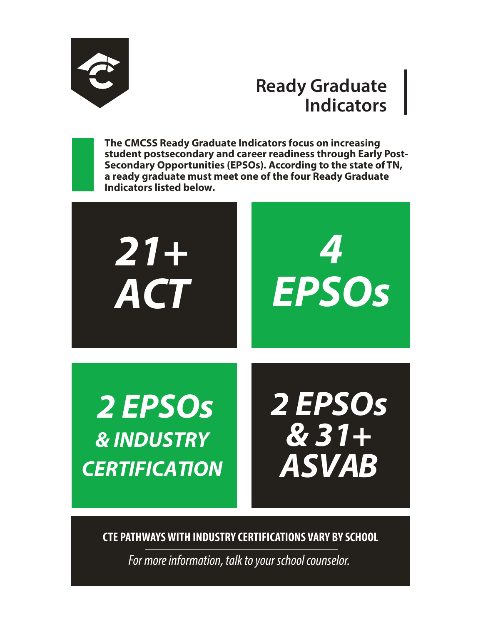

# **Ready Graduate Indicators**

**The CMCSS Ready Graduate Indicators focus on increasing student postsecondary and career readiness through Early Post-Secondary Opportunities (EPSOs). According to the state of TN, a ready graduate must meet one of the four Ready Graduate Indicators listed below.**



**CTE PATHWAYS WITH INDUSTRY CERTIFICATIONS VARY BY SCHOOL**

*For more information, talk to your school counselor.*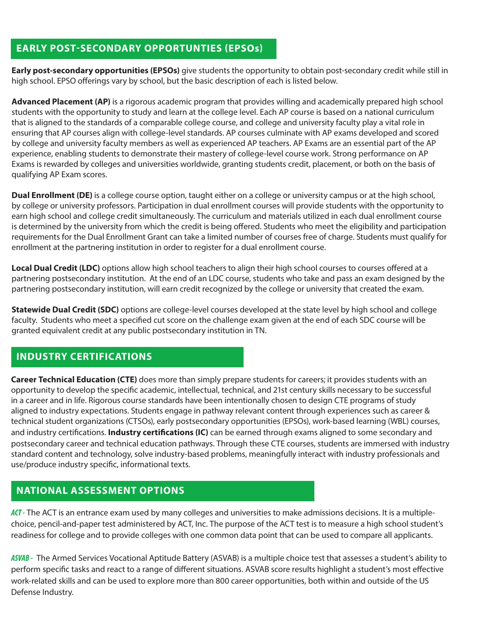### **EARLY POST-SECONDARY OPPORTUNTIES (EPSOs)**

**Early post-secondary opportunities (EPSOs)** give students the opportunity to obtain post-secondary credit while still in high school. EPSO offerings vary by school, but the basic description of each is listed below.

**Advanced Placement (AP)** is a rigorous academic program that provides willing and academically prepared high school students with the opportunity to study and learn at the college level. Each AP course is based on a national curriculum that is aligned to the standards of a comparable college course, and college and university faculty play a vital role in ensuring that AP courses align with college-level standards. AP courses culminate with AP exams developed and scored by college and university faculty members as well as experienced AP teachers. AP Exams are an essential part of the AP experience, enabling students to demonstrate their mastery of college-level course work. Strong performance on AP Exams is rewarded by colleges and universities worldwide, granting students credit, placement, or both on the basis of qualifying AP Exam scores.

**Dual Enrollment (DE)** is a college course option, taught either on a college or university campus or at the high school, by college or university professors. Participation in dual enrollment courses will provide students with the opportunity to earn high school and college credit simultaneously. The curriculum and materials utilized in each dual enrollment course is determined by the university from which the credit is being offered. Students who meet the eligibility and participation requirements for the Dual Enrollment Grant can take a limited number of courses free of charge. Students must qualify for enrollment at the partnering institution in order to register for a dual enrollment course.

**Local Dual Credit (LDC)** options allow high school teachers to align their high school courses to courses offered at a partnering postsecondary institution. At the end of an LDC course, students who take and pass an exam designed by the partnering postsecondary institution, will earn credit recognized by the college or university that created the exam.

**Statewide Dual Credit (SDC)** options are college-level courses developed at the state level by high school and college faculty. Students who meet a specified cut score on the challenge exam given at the end of each SDC course will be granted equivalent credit at any public postsecondary institution in TN.

## **INDUSTRY CERTIFICATIONS**

**Career Technical Education (CTE)** does more than simply prepare students for careers; it provides students with an opportunity to develop the specific academic, intellectual, technical, and 21st century skills necessary to be successful in a career and in life. Rigorous course standards have been intentionally chosen to design CTE programs of study aligned to industry expectations. Students engage in pathway relevant content through experiences such as career & technical student organizations (CTSOs), early postsecondary opportunities (EPSOs), work-based learning (WBL) courses, and industry certifications. **Industry certifications (IC)** can be earned through exams aligned to some secondary and postsecondary career and technical education pathways. Through these CTE courses, students are immersed with industry standard content and technology, solve industry-based problems, meaningfully interact with industry professionals and use/produce industry specific, informational texts.

## **NATIONAL ASSESSMENT OPTIONS**

*ACT -* The ACT is an entrance exam used by many colleges and universities to make admissions decisions. It is a multiplechoice, pencil-and-paper test administered by ACT, Inc. The purpose of the ACT test is to measure a high school student's readiness for college and to provide colleges with one common data point that can be used to compare all applicants.

*ASVAB -* The Armed Services Vocational Aptitude Battery (ASVAB) is a multiple choice test that assesses a student's ability to perform specific tasks and react to a range of different situations. ASVAB score results highlight a student's most effective work-related skills and can be used to explore more than 800 career opportunities, both within and outside of the US Defense Industry.